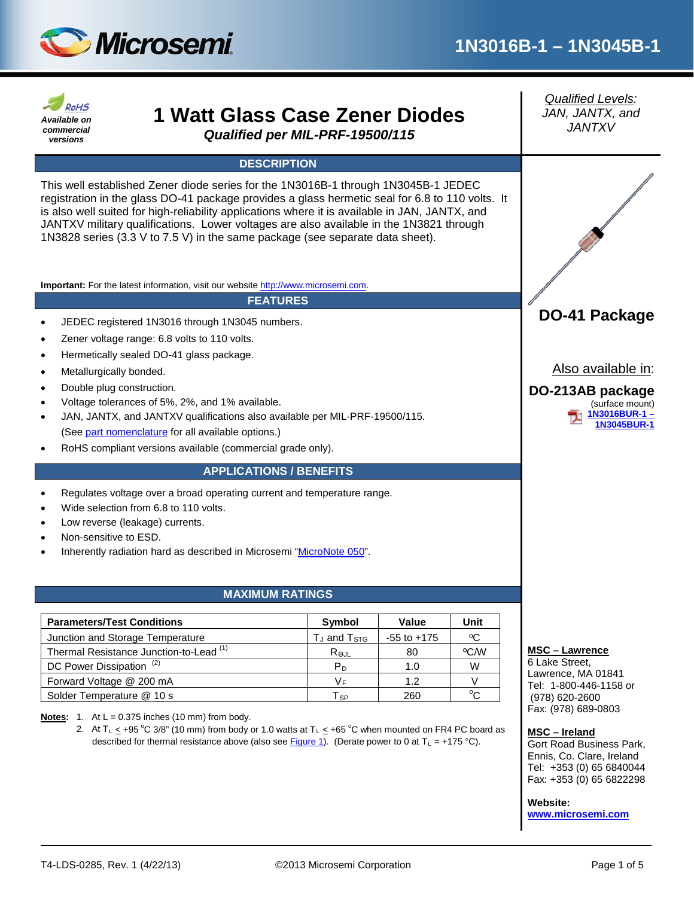

#### *Qualified Levels:* **RoHS 1 Watt Glass Case Zener Diodes** *JAN, JANTX, and Available on JANTXV commercial Qualified per MIL-PRF-19500/115 versions* **DESCRIPTION** This well established Zener diode series for the 1N3016B-1 through 1N3045B-1 JEDEC registration in the glass DO-41 package provides a glass hermetic seal for 6.8 to 110 volts. It is also well suited for high-reliability applications where it is available in JAN, JANTX, and JANTXV military qualifications. Lower voltages are also available in the 1N3821 through 1N3828 series (3.3 V to 7.5 V) in the same package (see separate data sheet). **Important:** For the latest information, visit our website [http://www.microsemi.com.](http://www.microsemi.com/) **FEATURES DO-41 Package** JEDEC registered 1N3016 through 1N3045 numbers. Zener voltage range: 6.8 volts to 110 volts. • Hermetically sealed DO-41 glass package. Also available in: Metallurgically bonded. • Double plug construction. **DO-213AB package** • Voltage tolerances of 5%, 2%, and 1% available. (surface mount) **[1N3016BUR-1 –](http://www.microsemi.com/existing-parts/parts/19022#docs-specs)** • JAN, JANTX, and JANTXV qualifications also available per MIL-PRF-19500/115. **[1N3045BUR-1](http://www.microsemi.com/existing-parts/parts/19022#docs-specs)** (Se[e part nomenclature](#page-1-0) for all available options.) • RoHS compliant versions available (commercial grade only). **APPLICATIONS / BENEFITS** • Regulates voltage over a broad operating current and temperature range. Wide selection from 6.8 to 110 volts. Low reverse (leakage) currents. • Non-sensitive to ESD. • Inherently radiation hard as described in Microsemi ["MicroNote 050"](http://www.microsemi.com/en/sites/default/files/micnotes/050.pdf). **MAXIMUM RATINGS Parameters/Test Conditions Symbol Value Unit** Junction and Storage Temperature  $\qquad \qquad$  T<sub>J</sub> and T<sub>STG</sub>  $\qquad$  -55 to +175  $\qquad$  <sup>o</sup>C Thermal Resistance Junction-to-Lead  $(1)$  ReJL 80  $\sqrt{C/W}$ **MSC – Lawrence** 6 Lake Street, DC Power Dissipation  $^{(2)}$   $\qquad$   $\qquad$   $\qquad$   $\qquad$   $\qquad$   $\qquad$   $\qquad$   $\qquad$   $\qquad$   $\qquad$   $\qquad$   $\qquad$   $\qquad$   $\qquad$   $\qquad$   $\qquad$   $\qquad$   $\qquad$   $\qquad$   $\qquad$   $\qquad$   $\qquad$   $\qquad$   $\qquad$   $\qquad$   $\qquad$   $\qquad$   $\qquad$   $\qquad$   $\qquad$   $\qquad$   $\qquad$  Lawrence, MA 01841 Forward Voltage @ 200 mA  $V_F$  1.2 V Tel: 1-800-446-1158 or Solder Temperature @ 10 s T<sub>SP</sub> 7 and 7 and 7 and 7 and 7 and 7 and 7 and 7 and 7 and 7 and 7 and 7 and 7 and 7 and 7 and 7 and 7 and 7 and 7 and 7 and 7 and 7 and 7 and 7 and 7 and 7 and 7 and 7 and 7 and 7 and 7 and 7 an  $^{\circ}C$ (978) 620-2600 Fax: (978) 689-0803 **Notes:** 1. At  $L = 0.375$  inches (10 mm) from body. 2. At T<sub>L</sub>  $\leq$  +95 °C 3/8" (10 mm) from body or 1.0 watts at T<sub>L</sub>  $\leq$  +65 °C when mounted on FR4 PC board as **MSC – Ireland** described for thermal resistance above (also see [Figure](#page-3-0) 1). (Derate power to 0 at  $T_L = +175 \degree C$ ). Gort Road Business Park, Ennis, Co. Clare, Ireland Tel: +353 (0) 65 6840044 Fax: +353 (0) 65 6822298 **Website: [www.microsemi.com](http://www.microsemi.com/)**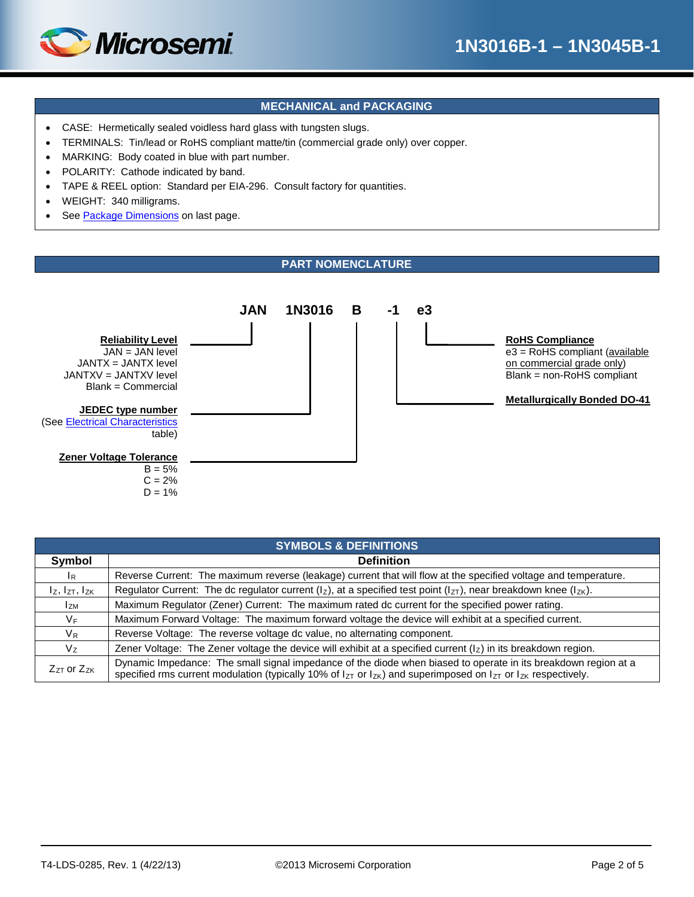

## **MECHANICAL and PACKAGING**

- CASE: Hermetically sealed voidless hard glass with tungsten slugs.
- TERMINALS: Tin/lead or RoHS compliant matte/tin (commercial grade only) over copper.
- MARKING: Body coated in blue with part number.
- POLARITY: Cathode indicated by band.
- TAPE & REEL option: Standard per EIA-296. Consult factory for quantities.
- WEIGHT: 340 milligrams.
- See [Package Dimensions](#page-4-0) on last page.

## **PART NOMENCLATURE**

<span id="page-1-0"></span>

| <b>SYMBOLS &amp; DEFINITIONS</b> |                                                                                                                                                                                                                                                    |  |  |  |  |  |  |
|----------------------------------|----------------------------------------------------------------------------------------------------------------------------------------------------------------------------------------------------------------------------------------------------|--|--|--|--|--|--|
| Symbol                           | <b>Definition</b>                                                                                                                                                                                                                                  |  |  |  |  |  |  |
| $\mathsf{I}_{\mathsf{R}}$        | Reverse Current: The maximum reverse (leakage) current that will flow at the specified voltage and temperature.                                                                                                                                    |  |  |  |  |  |  |
| $I_z$ , $I_{ZT}$ , $I_{ZK}$      | Regulator Current: The dc regulator current ( $I_z$ ), at a specified test point ( $I_{ZT}$ ), near breakdown knee ( $I_{ZK}$ ).                                                                                                                   |  |  |  |  |  |  |
| $I_{ZM}$                         | Maximum Regulator (Zener) Current: The maximum rated dc current for the specified power rating.                                                                                                                                                    |  |  |  |  |  |  |
| V <sub>F</sub>                   | Maximum Forward Voltage: The maximum forward voltage the device will exhibit at a specified current.                                                                                                                                               |  |  |  |  |  |  |
| $V_{R}$                          | Reverse Voltage: The reverse voltage dc value, no alternating component.                                                                                                                                                                           |  |  |  |  |  |  |
| $V_{Z}$                          | Zener Voltage: The Zener voltage the device will exhibit at a specified current $\left(\frac{1}{2}\right)$ in its breakdown region.                                                                                                                |  |  |  |  |  |  |
| $Z_{ZT}$ or $Z_{ZK}$             | Dynamic Impedance: The small signal impedance of the diode when biased to operate in its breakdown region at a<br>specified rms current modulation (typically 10% of $I_{ZT}$ or $I_{ZK}$ ) and superimposed on $I_{ZT}$ or $I_{ZK}$ respectively. |  |  |  |  |  |  |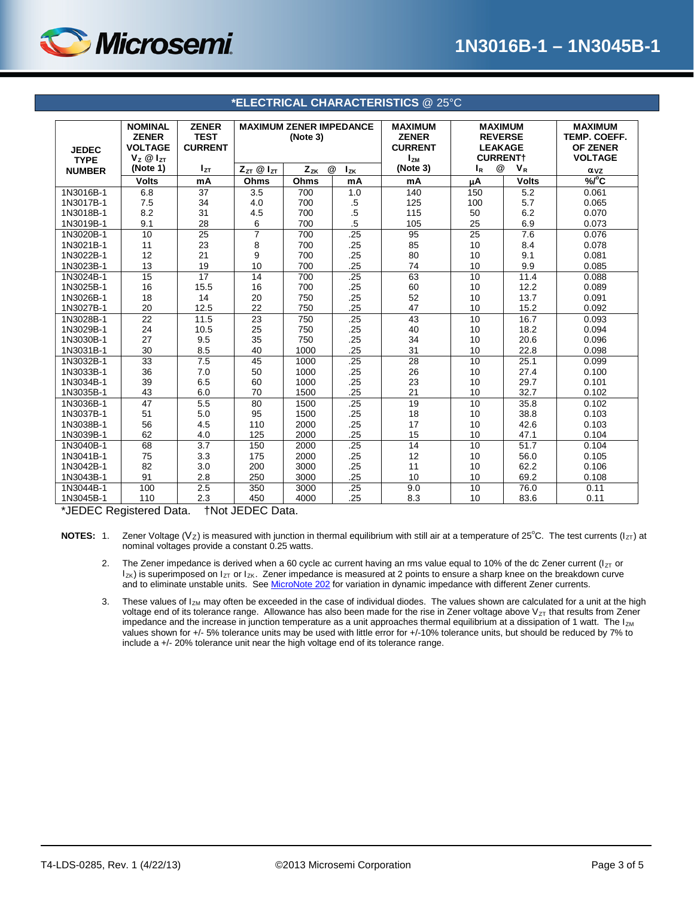

<span id="page-2-0"></span>

| <b>JEDEC</b>                                  | <b>NOMINAL</b><br><b>ZENER</b><br><b>VOLTAGE</b> | <b>ZENER</b><br><b>TEST</b><br><b>CURRENT</b> | <b>MAXIMUM ZENER IMPEDANCE</b><br>(Note 3) |          |               | <b>MAXIMUM</b><br><b>ZENER</b><br><b>CURRENT</b> | <b>MAXIMUM</b><br><b>REVERSE</b><br><b>LEAKAGE</b><br><b>CURRENT+</b><br>$I_{ZM}$ |              | <b>MAXIMUM</b><br>TEMP. COEFF.<br><b>OF ZENER</b> |
|-----------------------------------------------|--------------------------------------------------|-----------------------------------------------|--------------------------------------------|----------|---------------|--------------------------------------------------|-----------------------------------------------------------------------------------|--------------|---------------------------------------------------|
| <b>TYPE</b>                                   | $V_z \otimes I_{zT}$                             |                                               |                                            |          |               | <b>VOLTAGE</b>                                   |                                                                                   |              |                                                   |
| <b>NUMBER</b>                                 | (Note 1)                                         | $I_{ZT}$                                      | $Z_{ZT}$ @ $I_{ZT}$                        | $Z_{ZK}$ | @<br>$I_{ZK}$ | (Note 3)                                         | @<br>1 <sub>R</sub>                                                               | $V_R$        | $\alpha$ vz                                       |
|                                               | <b>Volts</b>                                     | mA                                            | Ohms                                       | Ohms     | mA            | mA                                               | μA                                                                                | <b>Volts</b> | %/°C                                              |
| 1N3016B-1                                     | 6.8                                              | 37                                            | 3.5                                        | 700      | 1.0           | 140                                              | 150                                                                               | 5.2          | 0.061                                             |
| 1N3017B-1                                     | 7.5                                              | 34                                            | 4.0                                        | 700      | $.5\,$        | 125                                              | 100                                                                               | 5.7          | 0.065                                             |
| 1N3018B-1                                     | 8.2                                              | 31                                            | 4.5                                        | 700      | $.5\,$        | 115                                              | 50                                                                                | 6.2          | 0.070                                             |
| 1N3019B-1                                     | 9.1                                              | 28                                            | 6                                          | 700      | $.5\,$        | 105                                              | 25                                                                                | 6.9          | 0.073                                             |
| 1N3020B-1                                     | 10                                               | $\overline{25}$                               | $\overline{7}$                             | 700      | .25           | 95                                               | $\overline{25}$                                                                   | 7.6          | 0.076                                             |
| 1N3021B-1                                     | 11                                               | 23                                            | 8                                          | 700      | .25           | 85                                               | 10                                                                                | 8.4          | 0.078                                             |
| 1N3022B-1                                     | 12                                               | 21                                            | 9                                          | 700      | .25           | 80                                               | 10                                                                                | 9.1          | 0.081                                             |
| 1N3023B-1                                     | 13                                               | 19                                            | 10                                         | 700      | .25           | 74                                               | 10                                                                                | 9.9          | 0.085                                             |
| 1N3024B-1                                     | 15                                               | 17                                            | 14                                         | 700      | .25           | 63                                               | 10                                                                                | 11.4         | 0.088                                             |
| 1N3025B-1                                     | 16                                               | 15.5                                          | 16                                         | 700      | .25           | 60                                               | 10                                                                                | 12.2         | 0.089                                             |
| 1N3026B-1                                     | 18                                               | 14                                            | 20                                         | 750      | .25           | 52                                               | 10                                                                                | 13.7         | 0.091                                             |
| 1N3027B-1                                     | 20                                               | 12.5                                          | 22                                         | 750      | .25           | 47                                               | 10                                                                                | 15.2         | 0.092                                             |
| 1N3028B-1                                     | $\overline{22}$                                  | 11.5                                          | $\overline{23}$                            | 750      | .25           | 43                                               | 10                                                                                | 16.7         | 0.093                                             |
| 1N3029B-1                                     | 24                                               | 10.5                                          | 25                                         | 750      | .25           | 40                                               | 10                                                                                | 18.2         | 0.094                                             |
| 1N3030B-1                                     | 27                                               | 9.5                                           | 35                                         | 750      | .25           | 34                                               | 10                                                                                | 20.6         | 0.096                                             |
| 1N3031B-1                                     | 30                                               | 8.5                                           | 40                                         | 1000     | .25           | 31                                               | 10                                                                                | 22.8         | 0.098                                             |
| 1N3032B-1                                     | $\overline{33}$                                  | 7.5                                           | 45                                         | 1000     | .25           | $\overline{28}$                                  | 10                                                                                | 25.1         | 0.099                                             |
| 1N3033B-1                                     | 36                                               | 7.0                                           | 50                                         | 1000     | .25           | 26                                               | 10                                                                                | 27.4         | 0.100                                             |
| 1N3034B-1                                     | 39                                               | 6.5                                           | 60                                         | 1000     | .25           | 23                                               | 10                                                                                | 29.7         | 0.101                                             |
| 1N3035B-1                                     | 43                                               | 6.0                                           | 70                                         | 1500     | .25           | 21                                               | 10                                                                                | 32.7         | 0.102                                             |
| 1N3036B-1                                     | 47                                               | 5.5                                           | 80                                         | 1500     | .25           | 19                                               | 10                                                                                | 35.8         | 0.102                                             |
| 1N3037B-1                                     | 51                                               | 5.0                                           | 95                                         | 1500     | .25           | 18                                               | 10                                                                                | 38.8         | 0.103                                             |
| 1N3038B-1                                     | 56                                               | 4.5                                           | 110                                        | 2000     | .25           | 17                                               | 10                                                                                | 42.6         | 0.103                                             |
| 1N3039B-1                                     | 62                                               | 4.0                                           | 125                                        | 2000     | .25           | 15                                               | 10                                                                                | 47.1         | 0.104                                             |
| 1N3040B-1                                     | 68                                               | 3.7                                           | 150                                        | 2000     | .25           | 14                                               | 10                                                                                | 51.7         | 0.104                                             |
| 1N3041B-1                                     | 75                                               | 3.3                                           | 175                                        | 2000     | .25           | 12                                               | 10                                                                                | 56.0         | 0.105                                             |
| 1N3042B-1                                     | 82                                               | 3.0                                           | 200                                        | 3000     | .25           | 11                                               | 10                                                                                | 62.2         | 0.106                                             |
| 1N3043B-1                                     | 91                                               | 2.8                                           | 250                                        | 3000     | .25           | 10                                               | 10                                                                                | 69.2         | 0.108                                             |
| 1N3044B-1                                     | 100                                              | 2.5                                           | 350                                        | 3000     | .25           | 9.0                                              | 10                                                                                | 76.0         | 0.11                                              |
| 1N3045B-1                                     | 110                                              | 2.3                                           | 450                                        | 4000     | .25           | 8.3                                              | 10                                                                                | 83.6         | 0.11                                              |
| $+$ Not IEDEO Dota<br>* IEDEO Degistered Dete |                                                  |                                               |                                            |          |               |                                                  |                                                                                   |              |                                                   |

#### **\*ELECTRICAL CHARACTERISTICS** @ 25°C

\*JEDEC Registered Data. †Not JEDEC Data.

NOTES: 1. Zener Voltage (Vz) is measured with junction in thermal equilibrium with still air at a temperature of 25°C. The test currents (I<sub>ZT</sub>) at nominal voltages provide a constant 0.25 watts.

- 2. The Zener impedance is derived when a 60 cycle ac current having an rms value equal to 10% of the dc Zener current ( $I_{ZT}$  or  $I_{ZK}$ ) is superimposed on  $I_{ZT}$  or  $I_{ZK}$ . Zener impedance is measured at 2 points to ensure a sharp knee on the breakdown curve and to eliminate unstable units. Se[e MicroNote 202](http://www.microsemi.com/en/sites/default/files/micnotes/202.pdf) for variation in dynamic impedance with different Zener currents.
- 3. These values of  $I_{ZM}$  may often be exceeded in the case of individual diodes. The values shown are calculated for a unit at the high voltage end of its tolerance range. Allowance has also been made for the rise in Zener voltage above  $V_{ZT}$  that results from Zener impedance and the increase in junction temperature as a unit approaches thermal equilibrium at a dissipation of 1 watt. The  $I_{ZM}$ values shown for +/- 5% tolerance units may be used with little error for +/-10% tolerance units, but should be reduced by 7% to include a +/- 20% tolerance unit near the high voltage end of its tolerance range.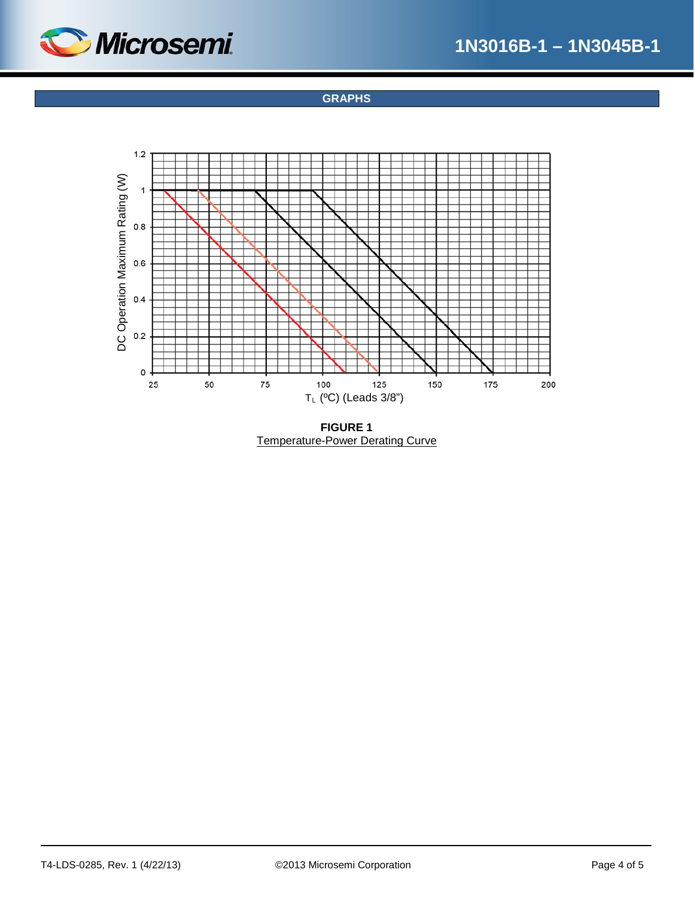<span id="page-3-0"></span>

**GRAPHS**



**FIGURE 1** Temperature-Power Derating Curve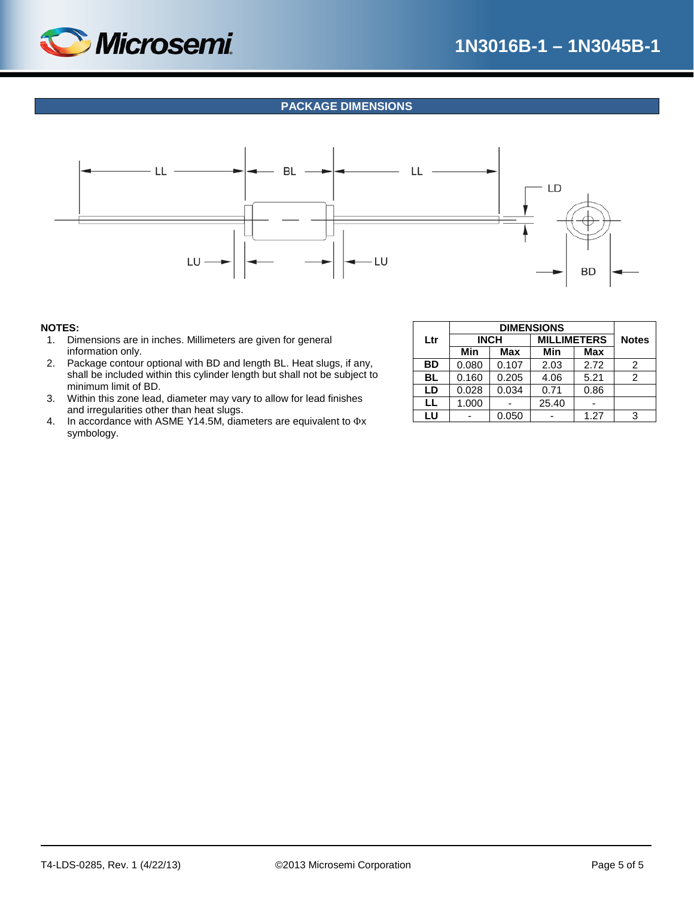

## **PACKAGE DIMENSIONS**

<span id="page-4-0"></span>

#### **NOTES:**

- 1. Dimensions are in inches. Millimeters are given for general information only.
- 2. Package contour optional with BD and length BL. Heat slugs, if any, shall be included within this cylinder length but shall not be subject to minimum limit of BD.
- 3. Within this zone lead, diameter may vary to allow for lead finishes and irregularities other than heat slugs.
- 4. In accordance with ASME Y14.5M, diameters are equivalent to Φx symbology.

| Ltr       |       | <b>INCH</b> | <b>MILLIMETERS</b> | <b>Notes</b> |                |
|-----------|-------|-------------|--------------------|--------------|----------------|
|           | Min   | Max         | <b>Min</b>         | <b>Max</b>   |                |
| <b>BD</b> | 0.080 | 0.107       | 2.03               | 2.72         | 2              |
| <b>BL</b> | 0.160 | 0.205       | 4.06               | 5.21         | $\overline{c}$ |
| LD        | 0.028 | 0.034       | 0.71               | 0.86         |                |
| LL        | 1.000 |             | 25.40              |              |                |
| LU        |       | 0.050       |                    | 1.27         | 3              |